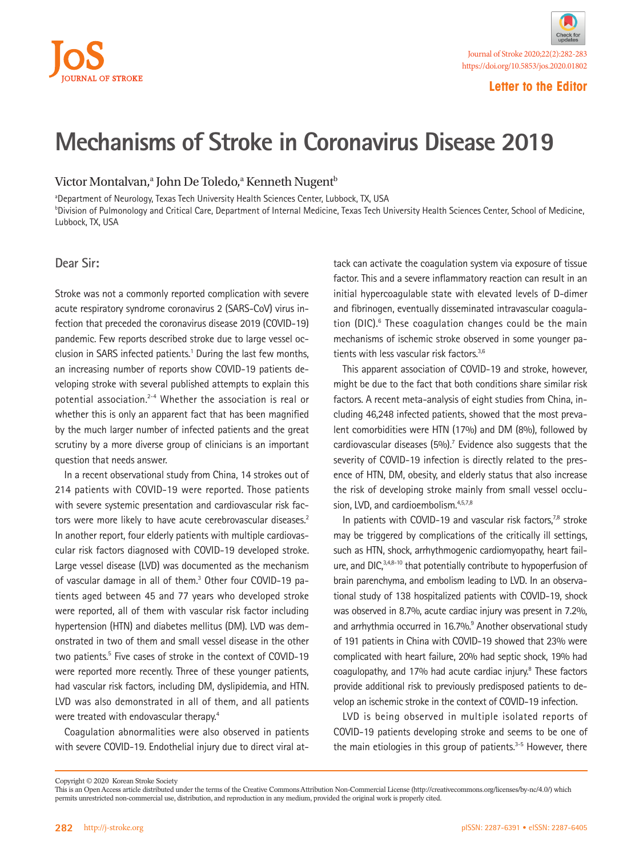# AL OF STROKE

#### **Letter to the Editor**

# **Mechanisms of Stroke in Coronavirus Disease 2019**

### Victor Montalvan,<sup>a</sup> John De Toledo,<sup>a</sup> Kenneth Nugent<sup>b</sup>

aDepartment of Neurology, Texas Tech University Health Sciences Center, Lubbock, TX, USA b Division of Pulmonology and Critical Care, Department of Internal Medicine, Texas Tech University Health Sciences Center, School of Medicine, Lubbock, TX, USA

#### **Dear Sir:**

Stroke was not a commonly reported complication with severe acute respiratory syndrome coronavirus 2 (SARS-CoV) virus infection that preceded the coronavirus disease 2019 (COVID-19) pandemic. Few reports described stroke due to large vessel occlusion in SARS infected patients.<sup>1</sup> During the last few months, an increasing number of reports show COVID-19 patients developing stroke with several published attempts to explain this potential association.<sup>2-4</sup> Whether the association is real or whether this is only an apparent fact that has been magnified by the much larger number of infected patients and the great scrutiny by a more diverse group of clinicians is an important question that needs answer.

In a recent observational study from China, 14 strokes out of 214 patients with COVID-19 were reported. Those patients with severe systemic presentation and cardiovascular risk factors were more likely to have acute cerebrovascular diseases.<sup>2</sup> In another report, four elderly patients with multiple cardiovascular risk factors diagnosed with COVID-19 developed stroke. Large vessel disease (LVD) was documented as the mechanism of vascular damage in all of them.<sup>3</sup> Other four COVID-19 patients aged between 45 and 77 years who developed stroke were reported, all of them with vascular risk factor including hypertension (HTN) and diabetes mellitus (DM). LVD was demonstrated in two of them and small vessel disease in the other two patients.<sup>5</sup> Five cases of stroke in the context of COVID-19 were reported more recently. Three of these younger patients, had vascular risk factors, including DM, dyslipidemia, and HTN. LVD was also demonstrated in all of them, and all patients were treated with endovascular therapy.<sup>4</sup>

Coagulation abnormalities were also observed in patients with severe COVID-19. Endothelial injury due to direct viral at-

tack can activate the coagulation system via exposure of tissue factor. This and a severe inflammatory reaction can result in an initial hypercoagulable state with elevated levels of D-dimer and fibrinogen, eventually disseminated intravascular coagulation (DIC).<sup>6</sup> These coagulation changes could be the main mechanisms of ischemic stroke observed in some younger patients with less vascular risk factors.<sup>3,6</sup>

This apparent association of COVID-19 and stroke, however, might be due to the fact that both conditions share similar risk factors. A recent meta-analysis of eight studies from China, including 46,248 infected patients, showed that the most prevalent comorbidities were HTN (17%) and DM (8%), followed by cardiovascular diseases (5%).<sup>7</sup> Evidence also suggests that the severity of COVID-19 infection is directly related to the presence of HTN, DM, obesity, and elderly status that also increase the risk of developing stroke mainly from small vessel occlusion, LVD, and cardioembolism.<sup>4,5,7,8</sup>

In patients with COVID-19 and vascular risk factors, $7,8$  stroke may be triggered by complications of the critically ill settings, such as HTN, shock, arrhythmogenic cardiomyopathy, heart failure, and DIC, 3,4,8-10 that potentially contribute to hypoperfusion of brain parenchyma, and embolism leading to LVD. In an observational study of 138 hospitalized patients with COVID-19, shock was observed in 8.7%, acute cardiac injury was present in 7.2%, and arrhythmia occurred in 16.7%.<sup>9</sup> Another observational study of 191 patients in China with COVID-19 showed that 23% were complicated with heart failure, 20% had septic shock, 19% had coagulopathy, and 17% had acute cardiac injury.8 These factors provide additional risk to previously predisposed patients to develop an ischemic stroke in the context of COVID-19 infection.

LVD is being observed in multiple isolated reports of COVID-19 patients developing stroke and seems to be one of the main etiologies in this group of patients. $3-5$  However, there

Copyright © 2020 Korean Stroke Society

This is an Open Access article distributed under the terms of the Creative Commons Attribution Non-Commercial License (http://creativecommons.org/licenses/by-nc/4.0/) which permits unrestricted non-commercial use, distribution, and reproduction in any medium, provided the original work is properly cited.